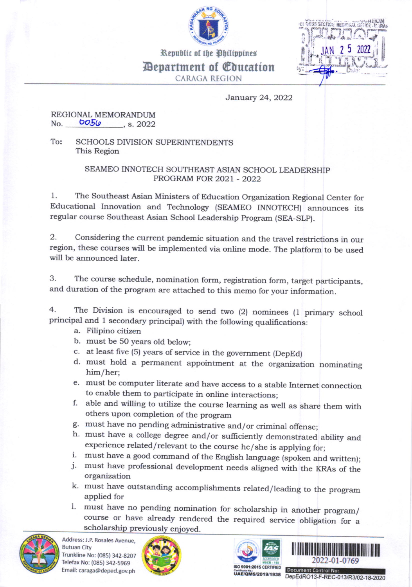

Republic of the Philippines



Depsrtment of Glucation CARAGA REGION

January 24,2022

## REGIONAL MEMORANDUM<br>No. **DO50**, s. 2022

To: SCHOOLS DIVISION SUPERINTENDENTS This Region

## SEAMEO INNOTECH SOUTHEAST ASIAN SCHOOL LEADERSHIP PROGRAM FOR 2021 - 2022

1. The southeast Asian Ministers of Education organization Regional center for Educational Innovation and Technology (SEAMEO INNOTECH) announces its regular course Southeast Asian School Leadership program (SEA-SLP).

2. Considering the current pandemic situation and the travel restrictions in our region, these courses will be implemented via online mode. The platform to be used will be announced later.

3. The course schedule, nomination form, registration form, target participants, and duration of the program are attached to this memo for your information.

4. The Division is encouraged to send two (2) nominees (1 primary school principal and 1 secondary principal) with the following qualifications:

- a. Filipino citizen
- b. must be 50 years old below;
- c. at least frve (5) years of service in the govemment (DepEd)
- d. must hold a permanent appointment at the organization nominating him/her;
- e. must be computer literate and have access to a stable Internet connection
- f. able and willing to utilize the course learning as well as share them with others upon completion of the program<br>g. must have no pending administrative and/or criminal offense;
- 
- h. must have a college degree and/or sufficiently demonstrated ability and experience related/relevant to the course he/she is applying for;
- 
- i. must have a good command of the English language (spoken and written); j. must have professional development needs aligned with the KRAs of the organization
- k. must have outstanding accomplishments related/leading to the program applied for
- l. must have no pending nomination for scholarship in another program/ course or have already rendered the required service obligation for <sup>a</sup> scholarship previously enjoyed.



Mdress: J.P. Rosales Avenue, **Butuan City** Trunkline No: (085) 342-8207 Telefax No: (085) 342-59G9 Email: caraga@deped.gov.ph







**Document Control No:**<br>UAE/QMS/2019/1938 DepEdRO13-F-REC-013/R3/02-18-2020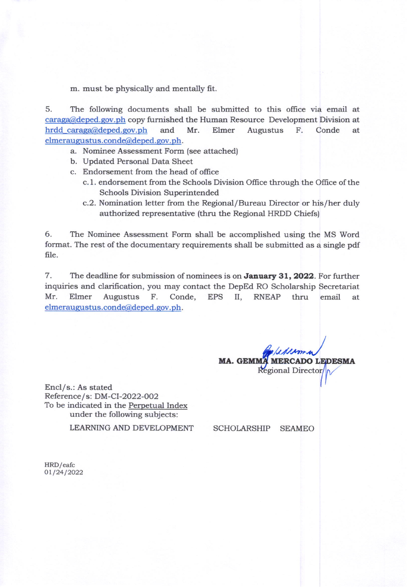m. must be physically and mentally fit.

5. The following documents shall be submitted to this office via email at caraga@deped.qov.ph copy fumished the Human Resource Development Division at hrdd\_caraga@deped.gov.ph and Mr. Elmer Augustus F. Conde at elmeraugustus.conde@deped.gov.ph.

- a. Nominee Assessment Form (see attached)
- b. Updated Personal Data Sheet
- c. Endorsement from the head of office
	- c. 1. endorsement from the Schools Division Office through the Office of the Schools Division Superintended
	- c.2. Nomination letter from the Regional/Bureau Director or his/her duly authorized representative (thru the Regional HRDD Chiefs)

6. The Nominee Assessment Form shall be accomplished using the MS Word format. The rest of the documentary requirements shall be submitted as a single pdf file.

7. The deadline for submission of nominees is on **January 31, 2022**. For further inquiries and clarification, you may contact the DepEd RO Scholarship Secretariat Mr. Elmer Augustus F. Conde, EPS II, RNEAP thru email at elmeraugustus.conde@deped.gov.ph.

MA. GEMMA MERCADO LEDESMA<br>Regional Director

Encl/s.: As stated Reference/s: DM-CI-2022-002 To be indicated in the Perpetual Index under the following subjects:

LEARNING AND DEVELOPMENT

SCHOLARSHIP SEAMEO

HRD/eafc 01/24/2022